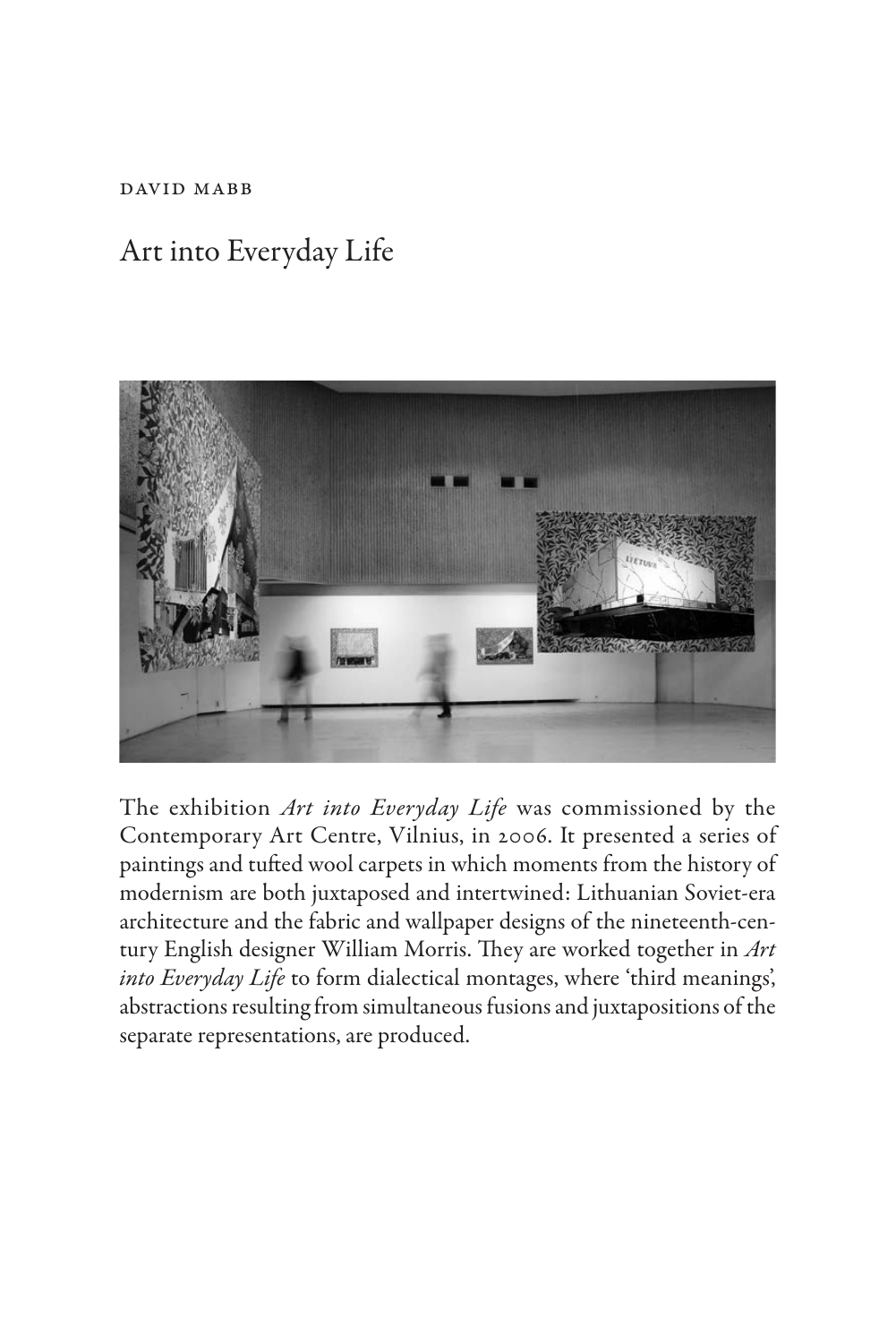DAVID MABB

# Art into Everyday Life



The exhibition Art into Everyday Life was commissioned by the Contemporary Art Centre, Vilnius, in 2006. It presented a series of paintings and tufted wool carpets in which moments from the history of modernism are both juxtaposed and intertwined: Lithuanian Soviet-era architecture and the fabric and wallpaper designs of the nineteenth-century English designer William Morris. They are worked together in  $Art$ into Everyday Life to form dialectical montages, where 'third meanings', abstractions resulting from simultaneous fusions and juxtapositions of the separate representations, are produced.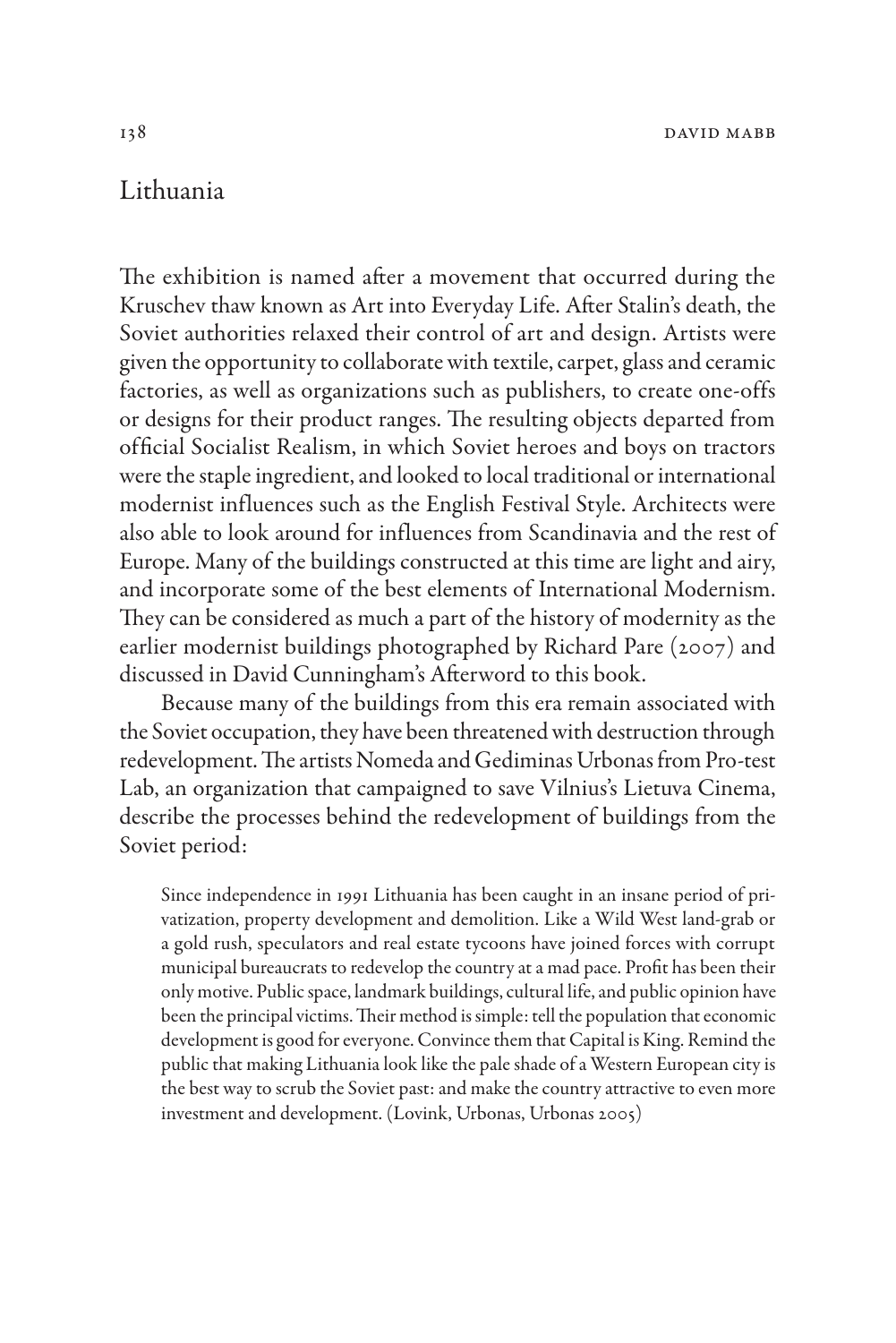### Lithuania

The exhibition is named after a movement that occurred during the Kruschev thaw known as Art into Everyday Life. After Stalin's death, the Soviet authorities relaxed their control of art and design. Artists were given the opportunity to collaborate with textile, carpet, glass and ceramic factories, as well as organizations such as publishers, to create one-offs or designs for their product ranges. The resulting objects departed from official Socialist Realism, in which Soviet heroes and boys on tractors were the staple ingredient, and looked to local traditional or international modernist influences such as the English Festival Style. Architects were also able to look around for influences from Scandinavia and the rest of Europe. Many of the buildings constructed at this time are light and airy, and incorporate some of the best elements of International Modernism. They can be considered as much a part of the history of modernity as the earlier modernist buildings photographed by Richard Pare (2007) and discussed in David Cunningham's Afterword to this book.

Because many of the buildings from this era remain associated with the Soviet occupation, they have been threatened with destruction through redevelopment. The artists Nomeda and Gediminas Urbonas from Pro-test Lab, an organization that campaigned to save Vilnius's Lietuva Cinema, describe the processes behind the redevelopment of buildings from the Soviet period:

Since independence in 1991 Lithuania has been caught in an insane period of privatization, property development and demolition. Like a Wild West land-grab or a gold rush, speculators and real estate tycoons have joined forces with corrupt municipal bureaucrats to redevelop the country at a mad pace. Profit has been their only motive. Public space, landmark buildings, cultural life, and public opinion have been the principal victims. Their method is simple: tell the population that economic development is good for everyone. Convince them that Capital is King. Remind the public that making Lithuania look like the pale shade of a Western European city is the best way to scrub the Soviet past: and make the country attractive to even more investment and development. (Lovink, Urbonas, Urbonas 2005)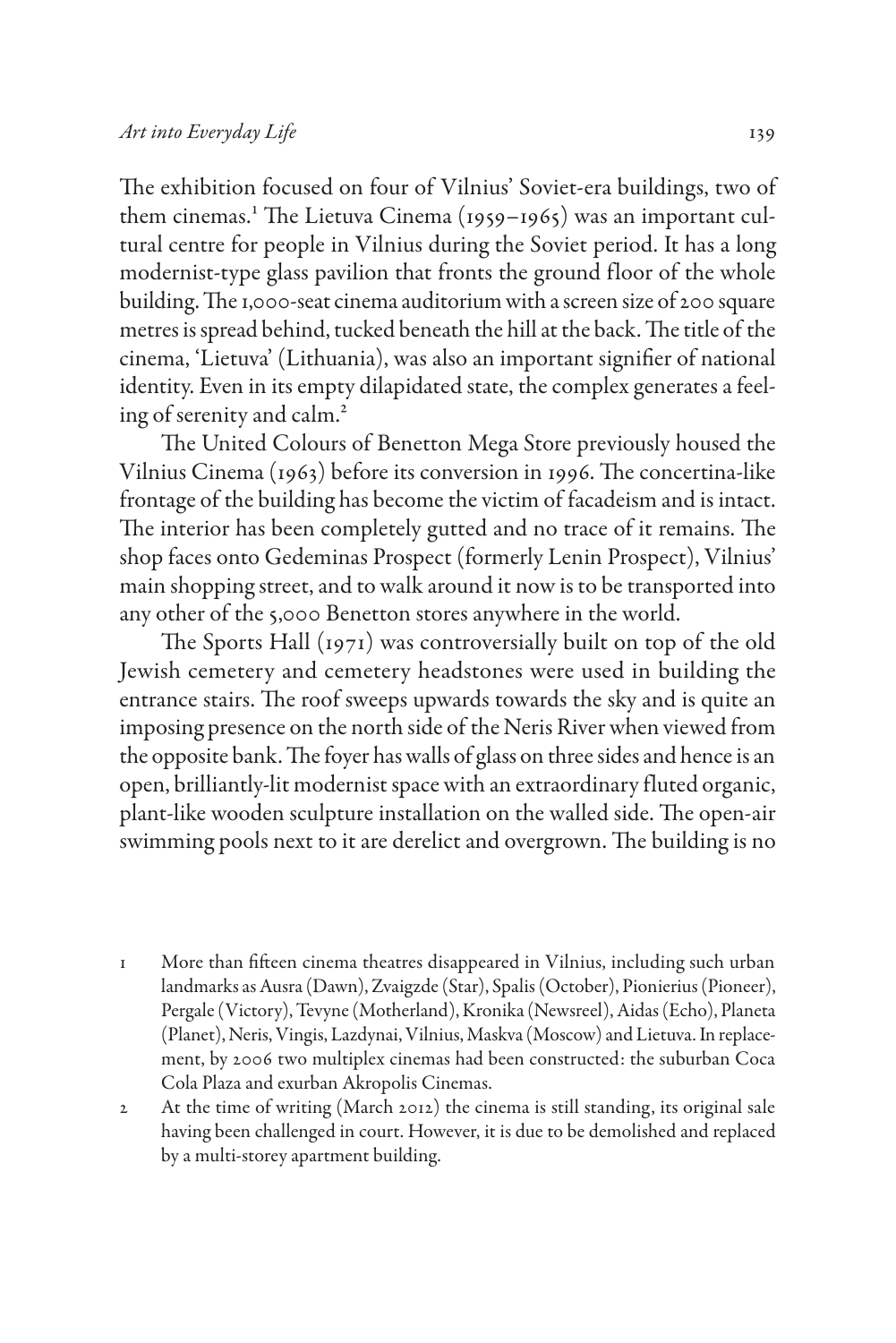The exhibition focused on four of Vilnius' Soviet-era buildings, two of them cinemas.<sup>1</sup> The Lietuva Cinema (1959–1965) was an important cultural centre for people in Vilnius during the Soviet period. It has a long modernist-type glass pavilion that fronts the ground floor of the whole building. The 1,000-seat cinema auditorium with a screen size of 200 square metres is spread behind, tucked beneath the hill at the back. The title of the cinema, 'Lietuva' (Lithuania), was also an important signifier of national identity. Even in its empty dilapidated state, the complex generates a feeling of serenity and calm.<sup>2</sup>

The United Colours of Benetton Mega Store previously housed the Vilnius Cinema  $(1963)$  before its conversion in 1996. The concertina-like frontage of the building has become the victim of facadeism and is intact. The interior has been completely gutted and no trace of it remains. The shop faces onto Gedeminas Prospect (formerly Lenin Prospect), Vilnius' main shopping street, and to walk around it now is to be transported into any other of the 5,000 Benetton stores anywhere in the world.

The Sports Hall (1971) was controversially built on top of the old Jewish cemetery and cemetery headstones were used in building the entrance stairs. The roof sweeps upwards towards the sky and is quite an imposing presence on the north side of the Neris River when viewed from the opposite bank. The foyer has walls of glass on three sides and hence is an open, brilliantly-lit modernist space with an extraordinary fluted organic, plant-like wooden sculpture installation on the walled side. The open-air swimming pools next to it are derelict and overgrown. The building is no

- 1 More than fifteen cinema theatres disappeared in Vilnius, including such urban landmarks as Ausra (Dawn), Zvaigzde (Star), Spalis (October), Pionierius (Pioneer), Pergale (Victory), Tevyne (Motherland), Kronika (Newsreel), Aidas (Echo), Planeta (Planet), Neris, Vingis, Lazdynai, Vilnius, Maskva (Moscow) and Lietuva. In replacement, by 2006 two multiplex cinemas had been constructed: the suburban Coca Cola Plaza and exurban Akropolis Cinemas.
- 2 At the time of writing (March 2012) the cinema is still standing, its original sale having been challenged in court. However, it is due to be demolished and replaced by a multi-storey apartment building.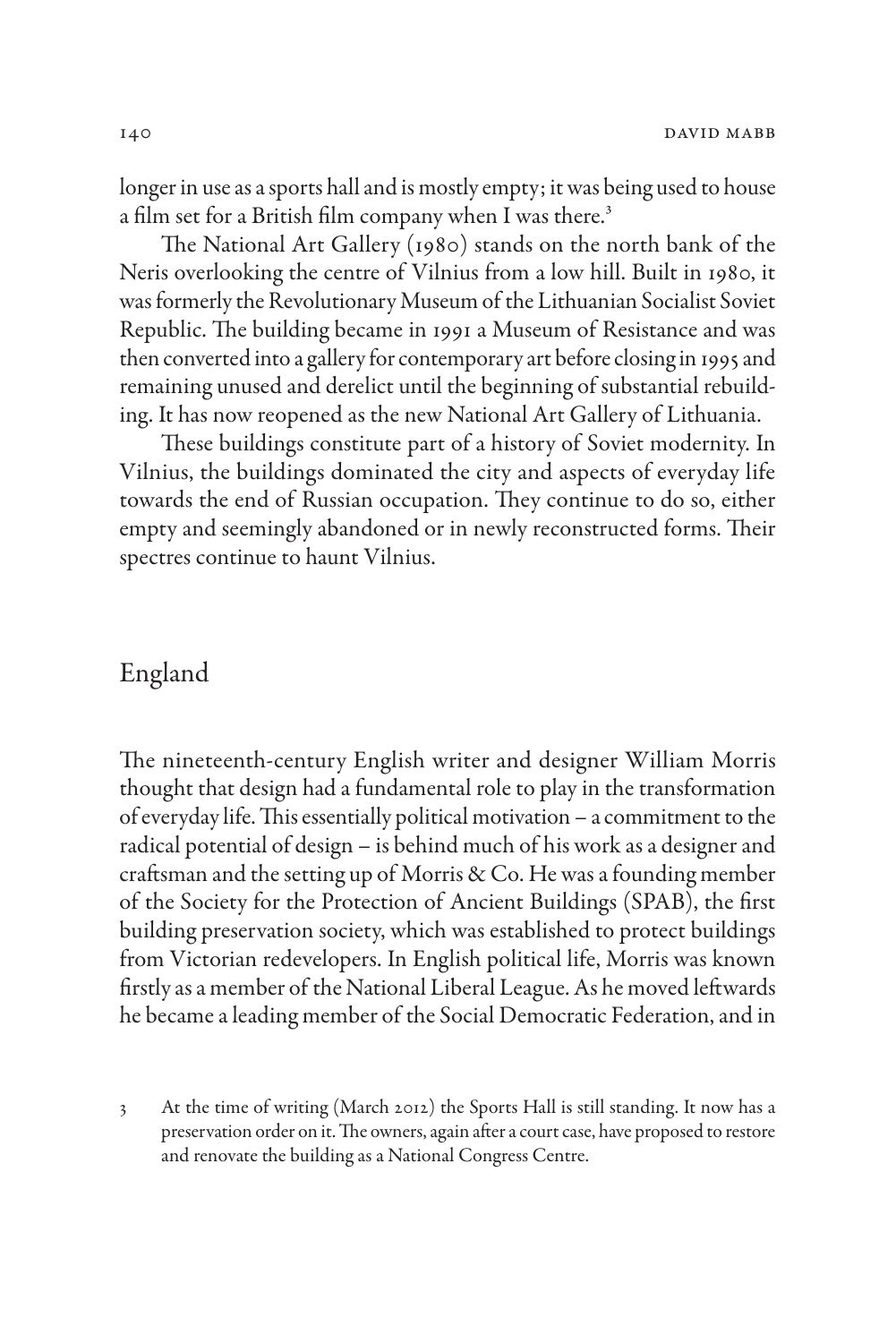longer in use as a sports hall and is mostly empty; it was being used to house a film set for a British film company when I was there.<sup>3</sup>

The National Art Gallery (1980) stands on the north bank of the Neris overlooking the centre of Vilnius from a low hill. Built in 1980, it was formerly the Revolutionary Museum of the Lithuanian Socialist Soviet Republic. The building became in 1991 a Museum of Resistance and was then converted into a gallery for contemporary art before closing in 1995 and remaining unused and derelict until the beginning of substantial rebuilding. It has now reopened as the new National Art Gallery of Lithuania.

These buildings constitute part of a history of Soviet modernity. In Vilnius, the buildings dominated the city and aspects of everyday life towards the end of Russian occupation. They continue to do so, either empty and seemingly abandoned or in newly reconstructed forms. Their spectres continue to haunt Vilnius.

#### England

The nineteenth-century English writer and designer William Morris thought that design had a fundamental role to play in the transformation of everyday life. This essentially political motivation – a commitment to the radical potential of design – is behind much of his work as a designer and craftsman and the setting up of Morris & Co. He was a founding member of the Society for the Protection of Ancient Buildings (SPAB), the first building preservation society, which was established to protect buildings from Victorian redevelopers. In English political life, Morris was known firstly as a member of the National Liberal League. As he moved leftwards he became a leading member of the Social Democratic Federation, and in

3 At the time of writing (March 2012) the Sports Hall is still standing. It now has a preservation order on it. The owners, again after a court case, have proposed to restore and renovate the building as a National Congress Centre.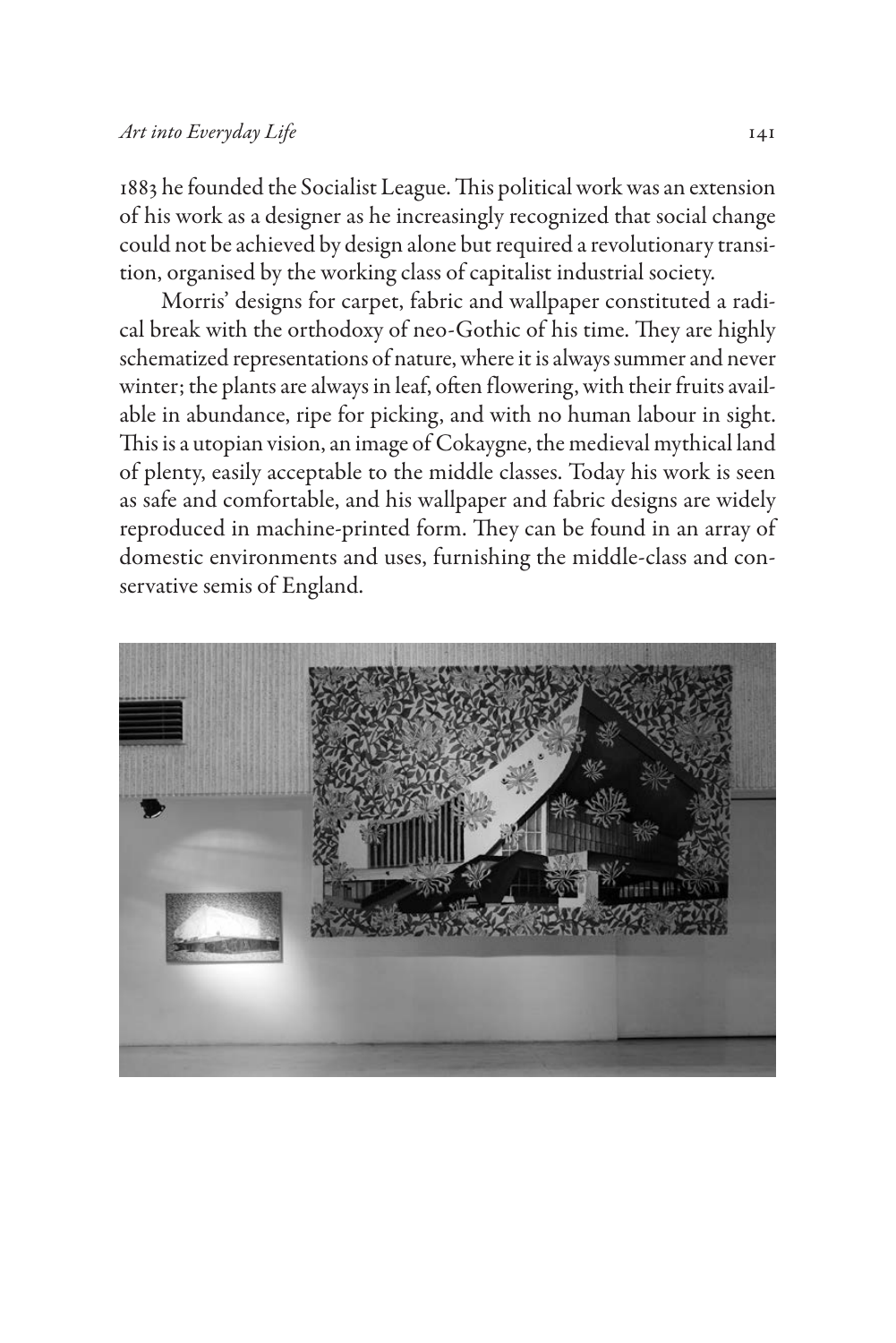1883 he founded the Socialist League. This political work was an extension ofhis work as a designer as he increasingly recognized that social change could not be achieved by design alone but required a revolutionary transition, organised by the working class of capitalist industrial society.

Morris' designs for carpet, fabric and wallpaper constituted a radical break with the orthodoxy of neo-Gothic of his time. They are highly schematized representations of nature, where it is always summer and never winter; the plants are always in leaf, often flowering, with their fruits available in abundance, ripe for picking, and with no human labour in sight. This is a utopian vision, an image of Cokaygne, the medieval mythical land of plenty, easily acceptable to the middle classes. Today his work is seen as safe and comfortable, and his wallpaper and fabric designs are widely reproduced in machine-printed form. They can be found in an array of domestic environments and uses, furnishing the middle-class and conservative semis of England.

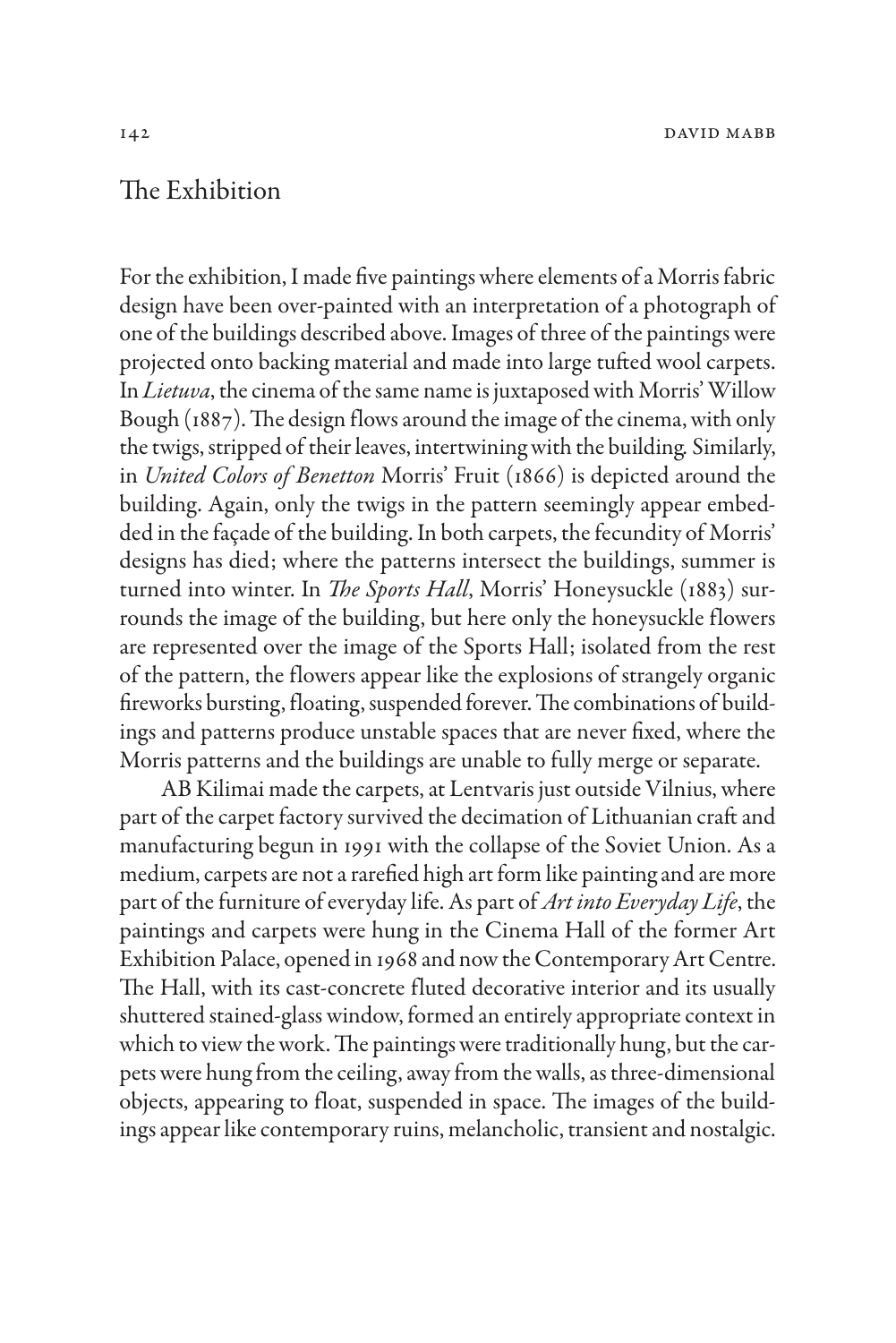#### The Exhibition

For the exhibition, I made five paintings where elements of a Morris fabric design have been over-painted with an interpretation of a photograph of one of the buildings described above. Images of three of the paintings were projected onto backing material and made into large tufted wool carpets. In Lietuva, the cinema of the same name is juxtaposed with Morris' Willow Bough  $(1887)$ . The design flows around the image of the cinema, with only the twigs, stripped of their leaves, intertwining with the building. Similarly, in United Colors of Benetton Morris' Fruit (1866) is depicted around the building. Again, only the twigs in the pattern seemingly appear embedded in the façade of the building. In both carpets, the fecundity of Morris' designs has died; where the patterns intersect the buildings, summer is turned into winter. In *The Sports Hall*, Morris' Honeysuckle (1883) surrounds the image of the building, but here only the honeysuckle flowers are represented over the image of the Sports Hall; isolated from the rest of the pattern, the flowers appear like the explosions of strangely organic fireworks bursting, floating, suspended forever. The combinations of buildings and patterns produce unstable spaces that are never fixed, where the Morris patterns and the buildings are unable to fully merge or separate.

AB Kilimai made the carpets, at Lentvaris just outside Vilnius, where part of the carpet factory survived the decimation of Lithuanian craft and manufacturing begun in 1991 with the collapse of the Soviet Union. As a medium, carpets are not a rarefied high art form like painting and are more part of the furniture of everyday life. As part of Art into Everyday Life, the paintings and carpets were hung in the Cinema Hall of the former Art Exhibition Palace, opened in 1968 and now the Contemporary Art Centre. The Hall, with its cast-concrete fluted decorative interior and its usually shuttered stained-glass window, formed an entirely appropriate context in which to view the work. The paintings were traditionally hung, but the carpets were hung from the ceiling, away from the walls, as three-dimensional objects, appearing to float, suspended in space. The images of the buildings appear like contemporary ruins, melancholic, transient and nostalgic.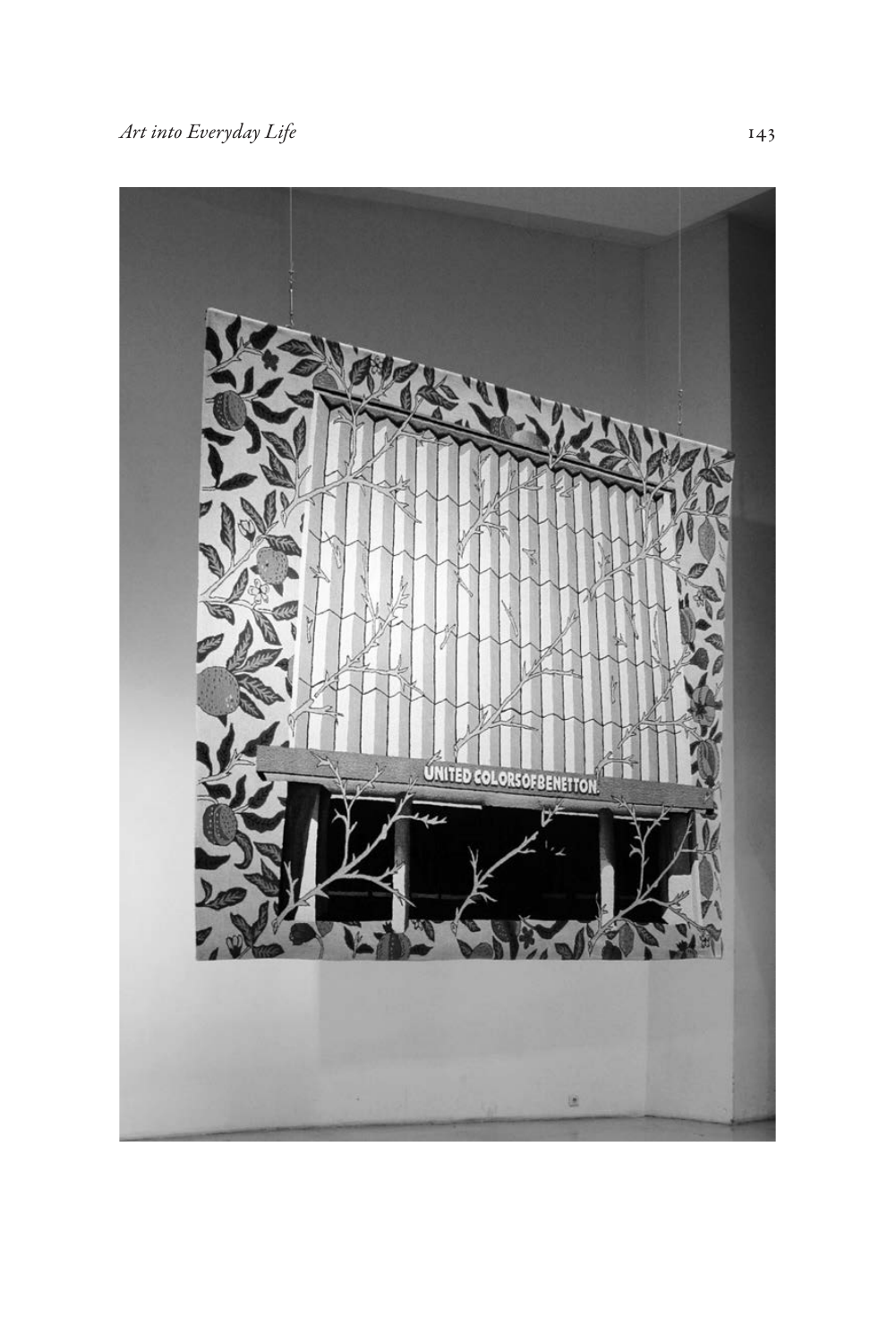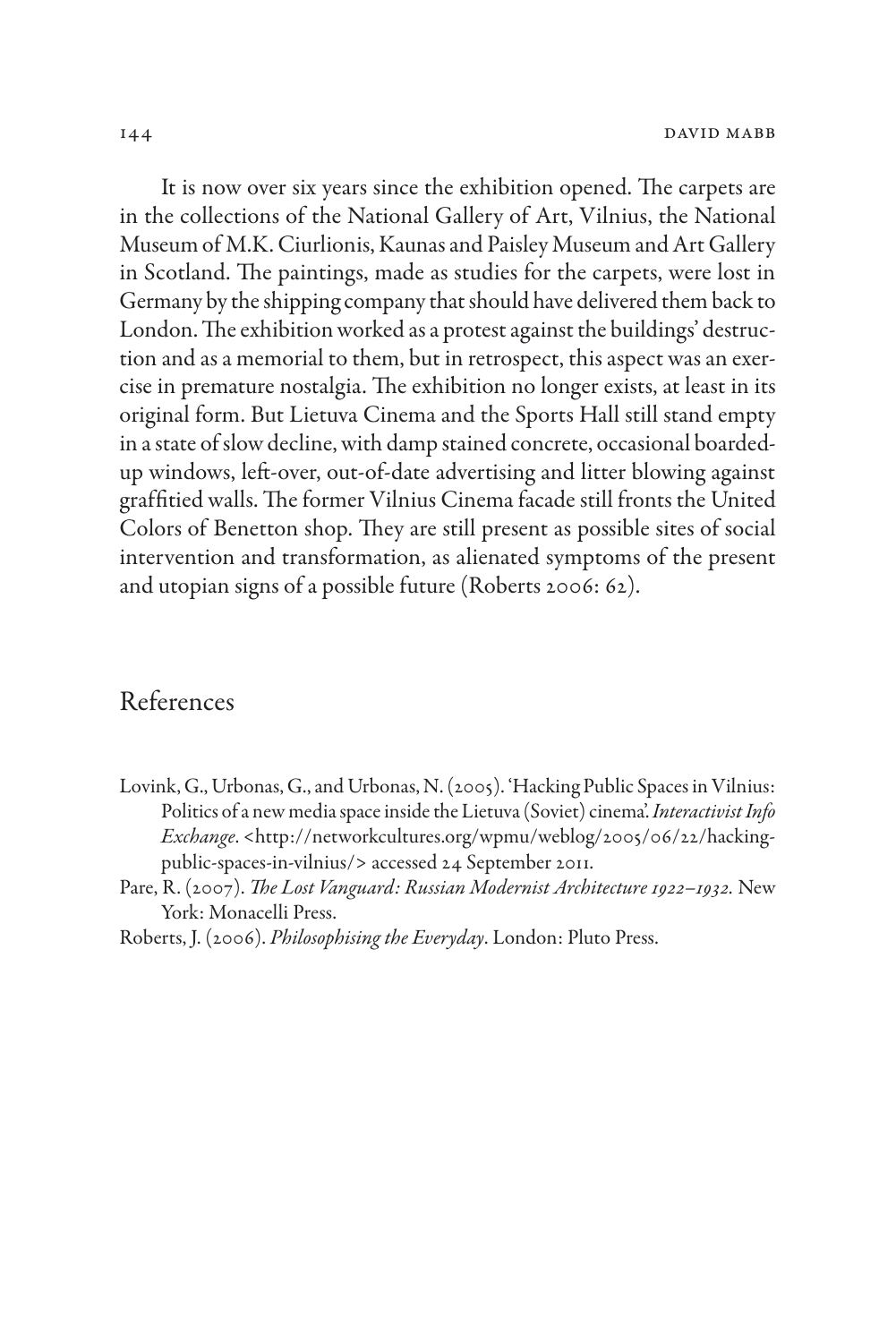It is now over six years since the exhibition opened. The carpets are in the collections of the National Gallery of Art, Vilnius, the National Museum of M.K. Ciurlionis, Kaunas and Paisley Museum and Art Gallery in Scotland. The paintings, made as studies for the carpets, were lost in Germany by the shipping company that should have delivered them back to London. The exhibition worked as a protest against the buildings' destruction and as a memorial to them, but in retrospect, this aspect was an exercise in premature nostalgia. The exhibition no longer exists, at least in its original form. But Lietuva Cinema and the Sports Hall still stand empty in a state of slow decline, with damp stained concrete, occasional boardedup windows, left-over, out-of-date advertising and litter blowing against graffitied walls. The former Vilnius Cinema facade still fronts the United Colors of Benetton shop. They are still present as possible sites of social intervention and transformation, as alienated symptoms of the present and utopian signs of a possible future (Roberts 2006: 62).

#### References

- Lovink, G., Urbonas, G., and Urbonas, N. (2005). 'Hacking Public Spaces in Vilnius: Politics of a new media space inside the Lietuva (Soviet) cinema'. Interactivist Info Exchange. <http://networkcultures.org/wpmu/weblog/2005/06/22/hackingpublic-spaces-in-vilnius/> accessed 24 September 2011.
- Pare, R. (2007). The Lost Vanguard: Russian Modernist Architecture 1922–1932. New York: Monacelli Press.
- Roberts, J. (2006). Philosophising the Everyday. London: Pluto Press.